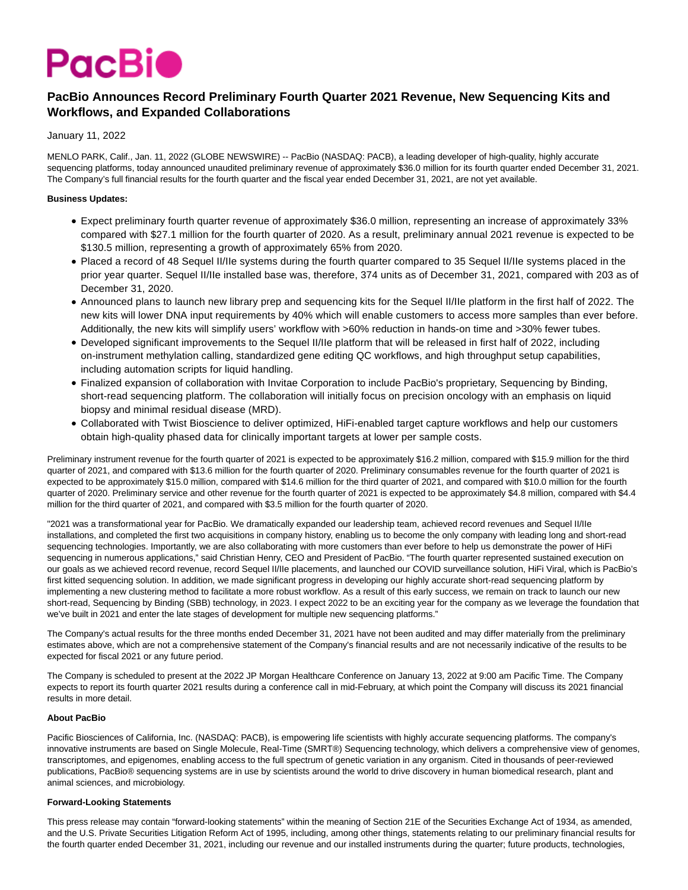

# **PacBio Announces Record Preliminary Fourth Quarter 2021 Revenue, New Sequencing Kits and Workflows, and Expanded Collaborations**

### January 11, 2022

MENLO PARK, Calif., Jan. 11, 2022 (GLOBE NEWSWIRE) -- PacBio (NASDAQ: PACB), a leading developer of high-quality, highly accurate sequencing platforms, today announced unaudited preliminary revenue of approximately \$36.0 million for its fourth quarter ended December 31, 2021. The Company's full financial results for the fourth quarter and the fiscal year ended December 31, 2021, are not yet available.

### **Business Updates:**

- Expect preliminary fourth quarter revenue of approximately \$36.0 million, representing an increase of approximately 33% compared with \$27.1 million for the fourth quarter of 2020. As a result, preliminary annual 2021 revenue is expected to be \$130.5 million, representing a growth of approximately 65% from 2020.
- Placed a record of 48 Sequel II/IIe systems during the fourth quarter compared to 35 Sequel II/IIe systems placed in the prior year quarter. Sequel II/IIe installed base was, therefore, 374 units as of December 31, 2021, compared with 203 as of December 31, 2020.
- Announced plans to launch new library prep and sequencing kits for the Sequel II/IIe platform in the first half of 2022. The new kits will lower DNA input requirements by 40% which will enable customers to access more samples than ever before. Additionally, the new kits will simplify users' workflow with >60% reduction in hands-on time and >30% fewer tubes.
- Developed significant improvements to the Sequel II/IIe platform that will be released in first half of 2022, including on-instrument methylation calling, standardized gene editing QC workflows, and high throughput setup capabilities, including automation scripts for liquid handling.
- Finalized expansion of collaboration with Invitae Corporation to include PacBio's proprietary, Sequencing by Binding, short-read sequencing platform. The collaboration will initially focus on precision oncology with an emphasis on liquid biopsy and minimal residual disease (MRD).
- Collaborated with Twist Bioscience to deliver optimized, HiFi-enabled target capture workflows and help our customers obtain high-quality phased data for clinically important targets at lower per sample costs.

Preliminary instrument revenue for the fourth quarter of 2021 is expected to be approximately \$16.2 million, compared with \$15.9 million for the third quarter of 2021, and compared with \$13.6 million for the fourth quarter of 2020. Preliminary consumables revenue for the fourth quarter of 2021 is expected to be approximately \$15.0 million, compared with \$14.6 million for the third quarter of 2021, and compared with \$10.0 million for the fourth quarter of 2020. Preliminary service and other revenue for the fourth quarter of 2021 is expected to be approximately \$4.8 million, compared with \$4.4 million for the third quarter of 2021, and compared with \$3.5 million for the fourth quarter of 2020.

"2021 was a transformational year for PacBio. We dramatically expanded our leadership team, achieved record revenues and Sequel II/IIe installations, and completed the first two acquisitions in company history, enabling us to become the only company with leading long and short-read sequencing technologies. Importantly, we are also collaborating with more customers than ever before to help us demonstrate the power of HiFi sequencing in numerous applications," said Christian Henry, CEO and President of PacBio. "The fourth quarter represented sustained execution on our goals as we achieved record revenue, record Sequel II/IIe placements, and launched our COVID surveillance solution, HiFi Viral, which is PacBio's first kitted sequencing solution. In addition, we made significant progress in developing our highly accurate short-read sequencing platform by implementing a new clustering method to facilitate a more robust workflow. As a result of this early success, we remain on track to launch our new short-read, Sequencing by Binding (SBB) technology, in 2023. I expect 2022 to be an exciting year for the company as we leverage the foundation that we've built in 2021 and enter the late stages of development for multiple new sequencing platforms."

The Company's actual results for the three months ended December 31, 2021 have not been audited and may differ materially from the preliminary estimates above, which are not a comprehensive statement of the Company's financial results and are not necessarily indicative of the results to be expected for fiscal 2021 or any future period.

The Company is scheduled to present at the 2022 JP Morgan Healthcare Conference on January 13, 2022 at 9:00 am Pacific Time. The Company expects to report its fourth quarter 2021 results during a conference call in mid-February, at which point the Company will discuss its 2021 financial results in more detail.

#### **About PacBio**

Pacific Biosciences of California, Inc. (NASDAQ: PACB), is empowering life scientists with highly accurate sequencing platforms. The company's innovative instruments are based on Single Molecule, Real-Time (SMRT®) Sequencing technology, which delivers a comprehensive view of genomes, transcriptomes, and epigenomes, enabling access to the full spectrum of genetic variation in any organism. Cited in thousands of peer-reviewed publications, PacBio® sequencing systems are in use by scientists around the world to drive discovery in human biomedical research, plant and animal sciences, and microbiology.

## **Forward-Looking Statements**

This press release may contain "forward-looking statements" within the meaning of Section 21E of the Securities Exchange Act of 1934, as amended, and the U.S. Private Securities Litigation Reform Act of 1995, including, among other things, statements relating to our preliminary financial results for the fourth quarter ended December 31, 2021, including our revenue and our installed instruments during the quarter; future products, technologies,